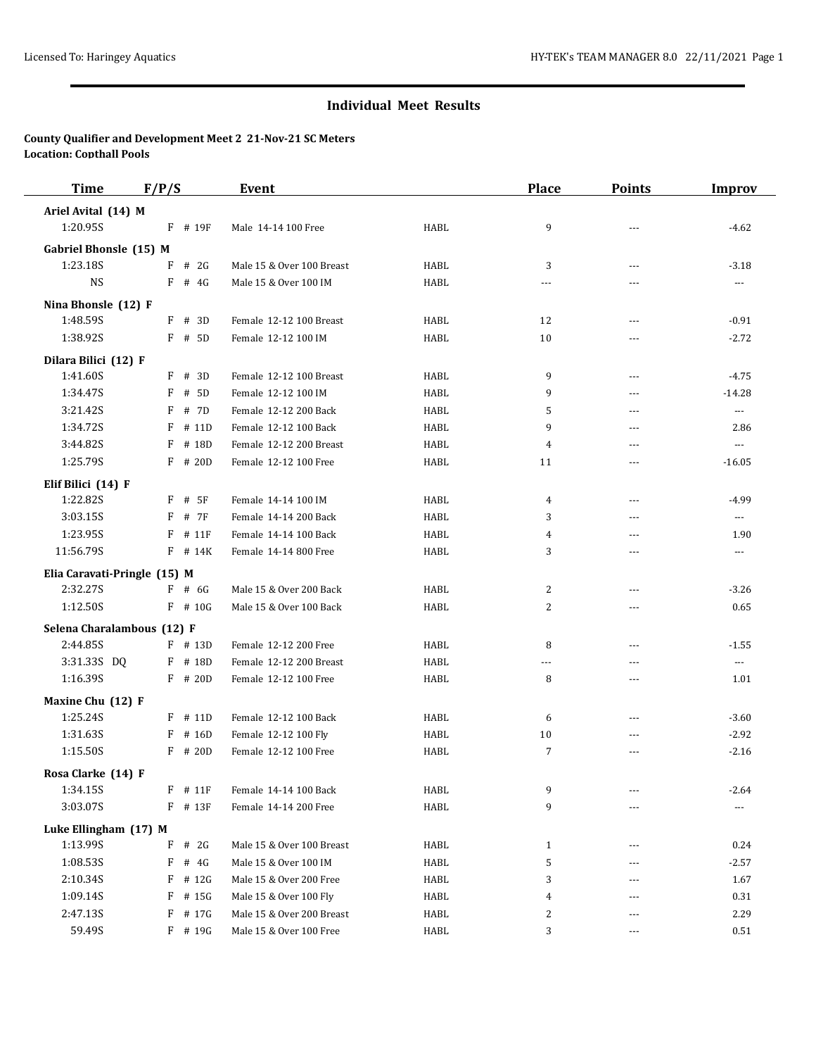# **Individual Meet Results**

#### **County Qualifier and Development Meet 2 21-Nov-21 SC Meters Location: Copthall Pools**

| <b>Time</b>                  | F/P/S |           | <b>Event</b>              |      | <b>Place</b>   | <b>Points</b> | <b>Improv</b>  |
|------------------------------|-------|-----------|---------------------------|------|----------------|---------------|----------------|
| Ariel Avital (14) M          |       |           |                           |      |                |               |                |
| 1:20.95S                     |       | F # 19F   | Male 14-14 100 Free       | HABL | 9              | $---$         | $-4.62$        |
| Gabriel Bhonsle (15) M       |       |           |                           |      |                |               |                |
| 1:23.18S                     | F     | # 2G      | Male 15 & Over 100 Breast | HABL | 3              | $---$         | $-3.18$        |
| <b>NS</b>                    |       | $F$ # 4G  | Male 15 & Over 100 IM     | HABL | $---$          |               | ---            |
|                              |       |           |                           |      |                |               |                |
| Nina Bhonsle (12) F          |       |           |                           |      |                |               |                |
| 1:48.59S                     | F     | # 3D      | Female 12-12 100 Breast   | HABL | 12             | ---           | $-0.91$        |
| 1:38.92S                     |       | $F$ # 5D  | Female 12-12 100 IM       | HABL | 10             | ---           | $-2.72$        |
| Dilara Bilici (12) F         |       |           |                           |      |                |               |                |
| 1:41.60S                     | F     | # 3D      | Female 12-12 100 Breast   | HABL | 9              | ---           | $-4.75$        |
| 1:34.47S                     | F     | # 5D      | Female 12-12 100 IM       | HABL | 9              | $---$         | $-14.28$       |
| 3:21.42S                     | F     | # 7D      | Female 12-12 200 Back     | HABL | 5              | ---           | ---            |
| 1:34.72S                     | F     | # 11D     | Female 12-12 100 Back     | HABL | 9              | $- - -$       | 2.86           |
| 3:44.82S                     | F     | # 18D     | Female 12-12 200 Breast   | HABL | $\overline{4}$ | ---           | $\overline{a}$ |
| 1:25.79S                     |       | F # 20D   | Female 12-12 100 Free     | HABL | 11             | ---           | $-16.05$       |
| Elif Bilici (14) F           |       |           |                           |      |                |               |                |
| 1:22.82S                     | F     | # 5F      | Female 14-14 100 IM       | HABL | 4              | ---           | $-4.99$        |
| 3:03.15S                     | F     | # 7F      | Female 14-14 200 Back     | HABL | 3              | $---$         | $\cdots$       |
| 1:23.95S                     | F     | # 11F     | Female 14-14 100 Back     | HABL | $\overline{4}$ | ---           | 1.90           |
| 11:56.79S                    |       | F # 14K   | Female 14-14 800 Free     | HABL | 3              | $- - -$       | ---            |
| Elia Caravati-Pringle (15) M |       |           |                           |      |                |               |                |
| 2:32.27S                     |       | $F$ # 6G  | Male 15 & Over 200 Back   | HABL | 2              | $- - -$       | $-3.26$        |
| 1:12.50S                     |       | $F$ # 10G | Male 15 & Over 100 Back   | HABL | $\overline{c}$ | ---           | 0.65           |
| Selena Charalambous (12) F   |       |           |                           |      |                |               |                |
| 2:44.85S                     |       | $F$ # 13D | Female 12-12 200 Free     | HABL | 8              | $---$         | $-1.55$        |
| 3:31.33S DQ                  |       | F # 18D   | Female 12-12 200 Breast   | HABL | ---            | ---           | $\cdots$       |
| 1:16.39S                     |       | $F$ # 20D | Female 12-12 100 Free     | HABL | 8              | $\frac{1}{2}$ | 1.01           |
|                              |       |           |                           |      |                |               |                |
| Maxine Chu (12) F            |       | # 11D     |                           |      |                |               |                |
| 1:25.24S                     | F     |           | Female 12-12 100 Back     | HABL | 6              | $---$         | $-3.60$        |
| 1:31.63S                     | F     | # 16D     | Female 12-12 100 Fly      | HABL | 10             | ---           | $-2.92$        |
| 1:15.50S                     |       | $F$ # 20D | Female 12-12 100 Free     | HABL | 7              |               | $-2.16$        |
| Rosa Clarke (14) F           |       |           |                           |      |                |               |                |
| 1:34.15S                     | F     | # 11F     | Female 14-14 100 Back     | HABL | 9              |               | $-2.64$        |
| 3:03.07S                     |       | F # 13F   | Female 14-14 200 Free     | HABL | 9              |               | ---            |
| Luke Ellingham (17) M        |       |           |                           |      |                |               |                |
| 1:13.99S                     | F     | # 2G      | Male 15 & Over 100 Breast | HABL | $\mathbf{1}$   | ---           | 0.24           |
| 1:08.53S                     | F     | # $4G$    | Male 15 & Over 100 IM     | HABL | 5              | ---           | $-2.57$        |
| 2:10.34S                     |       | $F$ # 12G | Male 15 & Over 200 Free   | HABL | 3              |               | 1.67           |
| 1:09.14S                     | F     | # 15G     | Male 15 & Over 100 Fly    | HABL | 4              |               | 0.31           |
| 2:47.13S                     | F     | # 17G     | Male 15 & Over 200 Breast | HABL | $\overline{c}$ |               | 2.29           |
| 59.49S                       |       | $F$ # 19G | Male 15 & Over 100 Free   | HABL | 3              | ---           | 0.51           |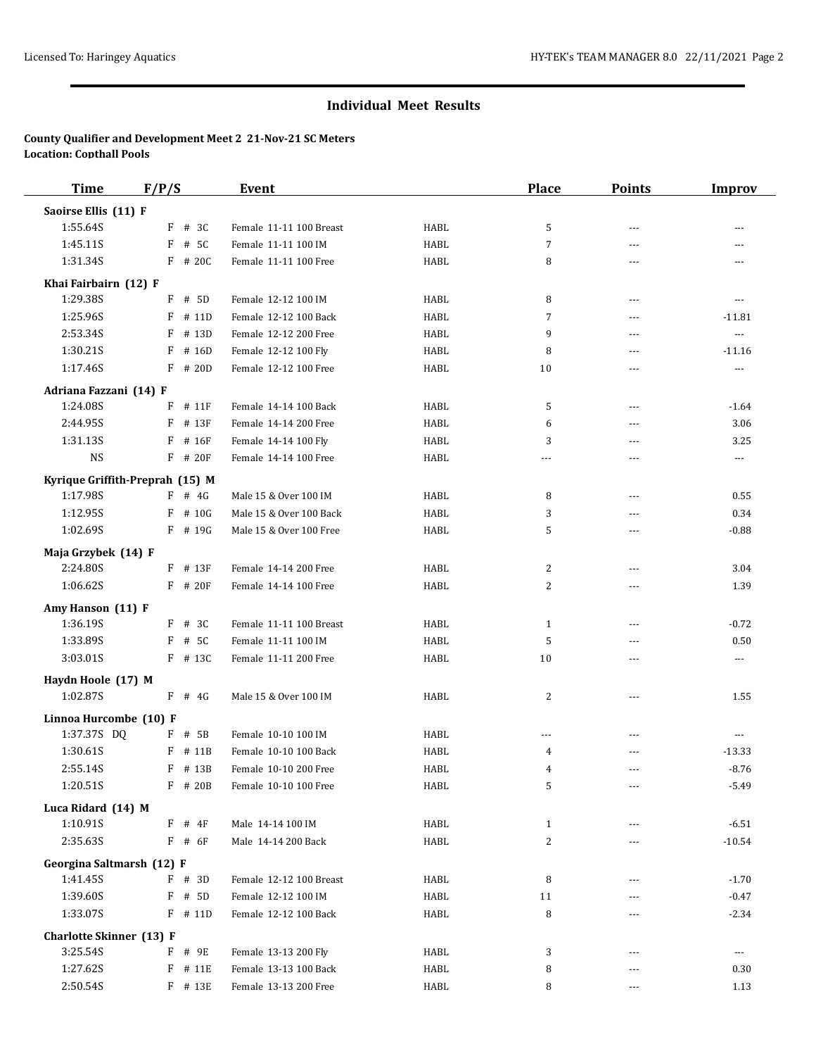### **Individual Meet Results**

#### **County Qualifier and Development Meet 2 21-Nov-21 SC Meters Location: Copthall Pools**

| <b>Time</b>                     | F/P/S        | <b>Event</b>            |             | <b>Place</b>   | <b>Points</b>  | <b>Improv</b>  |
|---------------------------------|--------------|-------------------------|-------------|----------------|----------------|----------------|
| Saoirse Ellis (11) F            |              |                         |             |                |                |                |
| 1:55.64S                        | # 3C<br>F    | Female 11-11 100 Breast | HABL        | 5              | $\overline{a}$ | $\overline{a}$ |
| 1:45.11S                        | # 5C<br>F    | Female 11-11 100 IM     | HABL        | $\overline{7}$ | $---$          | $---$          |
| 1:31.34S                        | F # 20C      | Female 11-11 100 Free   | <b>HABL</b> | 8              | $\overline{a}$ | $\overline{a}$ |
| Khai Fairbairn (12) F           |              |                         |             |                |                |                |
| 1:29.38S                        | # 5D<br>F    | Female 12-12 100 IM     | HABL        | 8              | $---$          | $---$          |
| 1:25.96S                        | F<br># 11D   | Female 12-12 100 Back   | <b>HABL</b> | 7              | ---            | $-11.81$       |
| 2:53.34S                        | F<br># 13D   | Female 12-12 200 Free   | <b>HABL</b> | 9              | $---$          | $\overline{a}$ |
| 1:30.21S                        | # 16D<br>F   | Female 12-12 100 Fly    | HABL        | 8              | $---$          | $-11.16$       |
| 1:17.46S                        | $F$ # 20D    | Female 12-12 100 Free   | HABL        | 10             | ---            | $\cdots$       |
| Adriana Fazzani (14) F          |              |                         |             |                |                |                |
| 1:24.08S                        | F<br># 11F   | Female 14-14 100 Back   | HABL        | 5              | ---            | $-1.64$        |
| 2:44.95S                        | F<br># 13F   | Female 14-14 200 Free   | HABL        | 6              | ---            | 3.06           |
| 1:31.13S                        | F<br># 16F   | Female 14-14 100 Fly    | <b>HABL</b> | 3              | ---            | 3.25           |
| <b>NS</b>                       | $F$ # 20 $F$ | Female 14-14 100 Free   | HABL        | ---            | ---            | ---            |
| Kyrique Griffith-Preprah (15) M |              |                         |             |                |                |                |
| 1:17.98S                        | $F$ # 4G     | Male 15 & Over 100 IM   | HABL        | 8              | ---            | 0.55           |
| 1:12.95S                        | F<br># 10G   | Male 15 & Over 100 Back | <b>HABL</b> | 3              | ---            | 0.34           |
| 1:02.69S                        | $F$ # 19G    | Male 15 & Over 100 Free | HABL        | 5              | ---            | $-0.88$        |
| Maja Grzybek (14) F             |              |                         |             |                |                |                |
| 2:24.80S                        | $F$ # 13 $F$ | Female 14-14 200 Free   | HABL        | 2              | ---            | 3.04           |
| 1:06.62S                        | $F$ # 20 $F$ | Female 14-14 100 Free   | HABL        | $\overline{c}$ | ---            | 1.39           |
| Amy Hanson (11) F               |              |                         |             |                |                |                |
| 1:36.195                        | $F$ # 3C     | Female 11-11 100 Breast | HABL        | 1              | ---            | $-0.72$        |
| 1:33.89S                        | F<br># 5C    | Female 11-11 100 IM     | <b>HABL</b> | 5              | ---            | 0.50           |
| 3:03.01S                        | $F$ # 13C    | Female 11-11 200 Free   | <b>HABL</b> | 10             | ---            | $\cdots$       |
| Haydn Hoole (17) M              |              |                         |             |                |                |                |
| 1:02.87S                        | $F$ # 4G     | Male 15 & Over 100 IM   | HABL        | 2              | ---            | 1.55           |
| Linnoa Hurcombe (10) F          |              |                         |             |                |                |                |
| 1:37.37S DQ                     | $F$ # 5B     | Female 10-10 100 IM     | HABL        | ---            | ---            | ---            |
| 1:30.61S                        | F<br># 11B   | Female 10-10 100 Back   | HABL        | 4              |                | $-13.33$       |
| 2:55.14S                        | F<br># 13B   | Female 10-10 200 Free   | HABL        | 4              | $---$          | $-8.76$        |
| 1:20.51S                        | F # 20B      | Female 10-10 100 Free   | HABL        | 5              |                | $-5.49$        |
| Luca Ridard (14) M              |              |                         |             |                |                |                |
| 1:10.91S                        | $F$ # 4F     | Male 14-14 100 IM       | HABL        | $\mathbf{1}$   |                | $-6.51$        |
| 2:35.63S                        | $F$ # 6F     | Male 14-14 200 Back     | HABL        | $\sqrt{2}$     |                | $-10.54$       |
| Georgina Saltmarsh (12) F       |              |                         |             |                |                |                |
| 1:41.45S                        | $F$ # 3D     | Female 12-12 100 Breast | HABL        | 8              | ---            | $-1.70$        |
| 1:39.60S                        | F<br># 5D    | Female 12-12 100 IM     | <b>HABL</b> | 11             |                | $-0.47$        |
| 1:33.07S                        | $F$ # 11D    | Female 12-12 100 Back   | HABL        | 8              |                | $-2.34$        |
| <b>Charlotte Skinner (13) F</b> |              |                         |             |                |                |                |
| 3:25.54S                        | F # 9E       | Female 13-13 200 Fly    | HABL        | 3              |                | ---            |
| 1:27.62S                        | F<br># 11E   | Female 13-13 100 Back   | HABL        | 8              |                | 0.30           |
| 2:50.54S                        | F # 13E      | Female 13-13 200 Free   | HABL        | 8              | ---            | 1.13           |